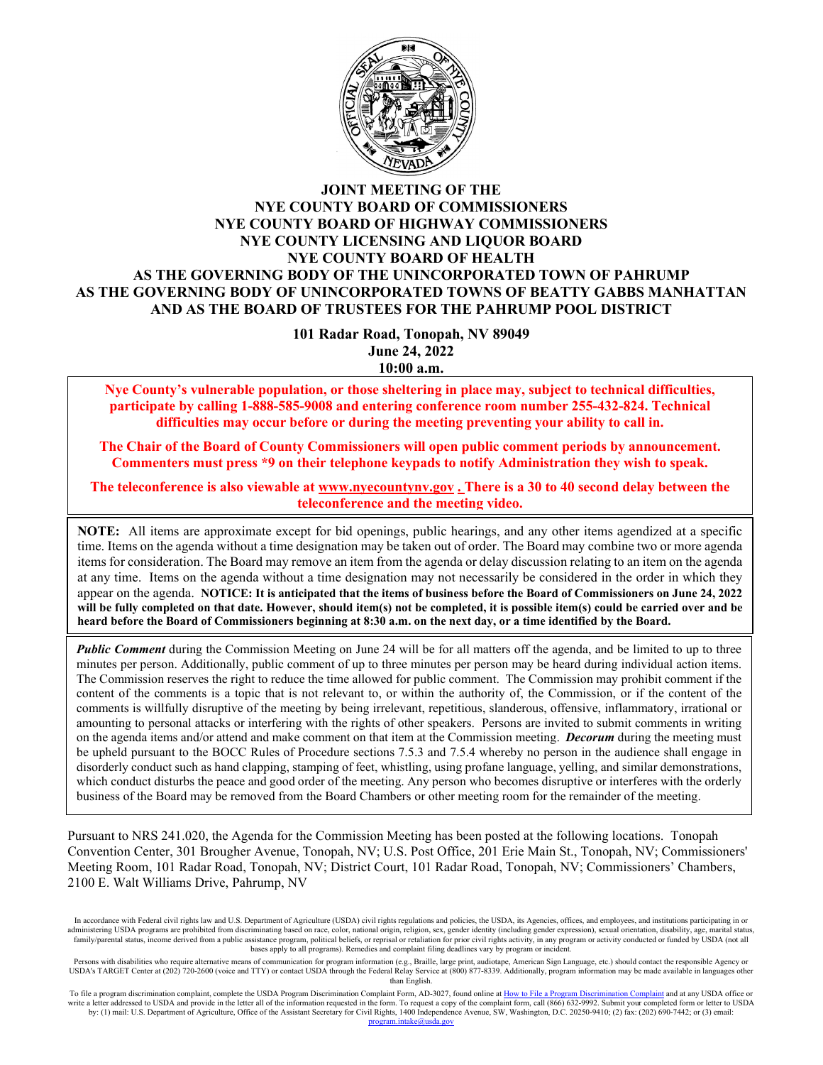

#### **JOINT MEETING OF THE NYE COUNTY BOARD OF COMMISSIONERS NYE COUNTY BOARD OF HIGHWAY COMMISSIONERS NYE COUNTY LICENSING AND LIQUOR BOARD NYE COUNTY BOARD OF HEALTH AS THE GOVERNING BODY OF THE UNINCORPORATED TOWN OF PAHRUMP AS THE GOVERNING BODY OF UNINCORPORATED TOWNS OF BEATTY GABBS MANHATTAN AND AS THE BOARD OF TRUSTEES FOR THE PAHRUMP POOL DISTRICT**

**101 Radar Road, Tonopah, NV 89049 June 24, 2022 10:00 a.m.**

**Nye County's vulnerable population, or those sheltering in place may, subject to technical difficulties, participate by calling 1-888-585-9008 and entering conference room number 255-432-824. Technical difficulties may occur before or during the meeting preventing your ability to call in.** 

**The Chair of the Board of County Commissioners will open public comment periods by announcement. Commenters must press \*9 on their telephone keypads to notify Administration they wish to speak.** 

**The teleconference is also viewable at [www.nyecountynv.gov](http://www.nyecountynv.gov/) . There is a 30 to 40 second delay between the teleconference and the meeting video.**

**NOTE:** All items are approximate except for bid openings, public hearings, and any other items agendized at a specific time. Items on the agenda without a time designation may be taken out of order. The Board may combine two or more agenda items for consideration. The Board may remove an item from the agenda or delay discussion relating to an item on the agenda at any time. Items on the agenda without a time designation may not necessarily be considered in the order in which they appear on the agenda. **NOTICE: It is anticipated that the items of business before the Board of Commissioners on June 24, 2022 will be fully completed on that date. However, should item(s) not be completed, it is possible item(s) could be carried over and be heard before the Board of Commissioners beginning at 8:30 a.m. on the next day, or a time identified by the Board.**

*Public Comment* during the Commission Meeting on June 24 will be for all matters off the agenda, and be limited to up to three minutes per person. Additionally, public comment of up to three minutes per person may be heard during individual action items. The Commission reserves the right to reduce the time allowed for public comment. The Commission may prohibit comment if the content of the comments is a topic that is not relevant to, or within the authority of, the Commission, or if the content of the comments is willfully disruptive of the meeting by being irrelevant, repetitious, slanderous, offensive, inflammatory, irrational or amounting to personal attacks or interfering with the rights of other speakers. Persons are invited to submit comments in writing on the agenda items and/or attend and make comment on that item at the Commission meeting. *Decorum* during the meeting must be upheld pursuant to the BOCC Rules of Procedure sections 7.5.3 and 7.5.4 whereby no person in the audience shall engage in disorderly conduct such as hand clapping, stamping of feet, whistling, using profane language, yelling, and similar demonstrations, which conduct disturbs the peace and good order of the meeting. Any person who becomes disruptive or interferes with the orderly business of the Board may be removed from the Board Chambers or other meeting room for the remainder of the meeting.

Pursuant to NRS 241.020, the Agenda for the Commission Meeting has been posted at the following locations. Tonopah Convention Center, 301 Brougher Avenue, Tonopah, NV; U.S. Post Office, 201 Erie Main St., Tonopah, NV; Commissioners' Meeting Room, 101 Radar Road, Tonopah, NV; District Court, 101 Radar Road, Tonopah, NV; Commissioners' Chambers, 2100 E. Walt Williams Drive, Pahrump, NV

To file a program discrimination complaint, complete the USDA Program Discrimination Complaint Form, AD-3027, found online a[t How to File a Program Discrimination Complaint](https://www.ascr.usda.gov/how-file-program-discrimination-complaint) and at any USDA office or write a letter addressed to USDA and provide in the letter all of the information requested in the form. To request a copy of the complaint form, call (866) 632-9992. Submit your completed form or letter to USDA by: (1) mail: U.S. Department of Agriculture, Office of the Assistant Secretary for Civil Rights, 1400 Independence Avenue, SW, Washington, D.C. 20250-9410; (2) fax: (202) 690-7442; or (3) email: program.<br>Program.<br>2011

In accordance with Federal civil rights law and U.S. Department of Agriculture (USDA) civil rights regulations and policies, the USDA, its Agencies, offices, and employees, and institutions participating in or administering USDA programs are prohibited from discriminating based on race, color, national origin, religion, sex, gender identity (including gender expression), sexual orientation, disability, age, marital status, and o family/parental status, income derived from a public assistance program, political beliefs, or reprisal or retaliation for prior civil rights activity, in any program or activity conducted or funded by USDA (not all bases apply to all programs). Remedies and complaint filing deadlines vary by program or incident.

Persons with disabilities who require alternative means of communication for program information (e.g., Braille, large print, audiotape, American Sign Language, etc.) should contact the responsible Agency or USDA's TARGET Center at (202) 720-2600 (voice and TTY) or contact USDA through the Federal Relay Service at (800) 877-8339. Additionally, program information may be made available in languages other than English.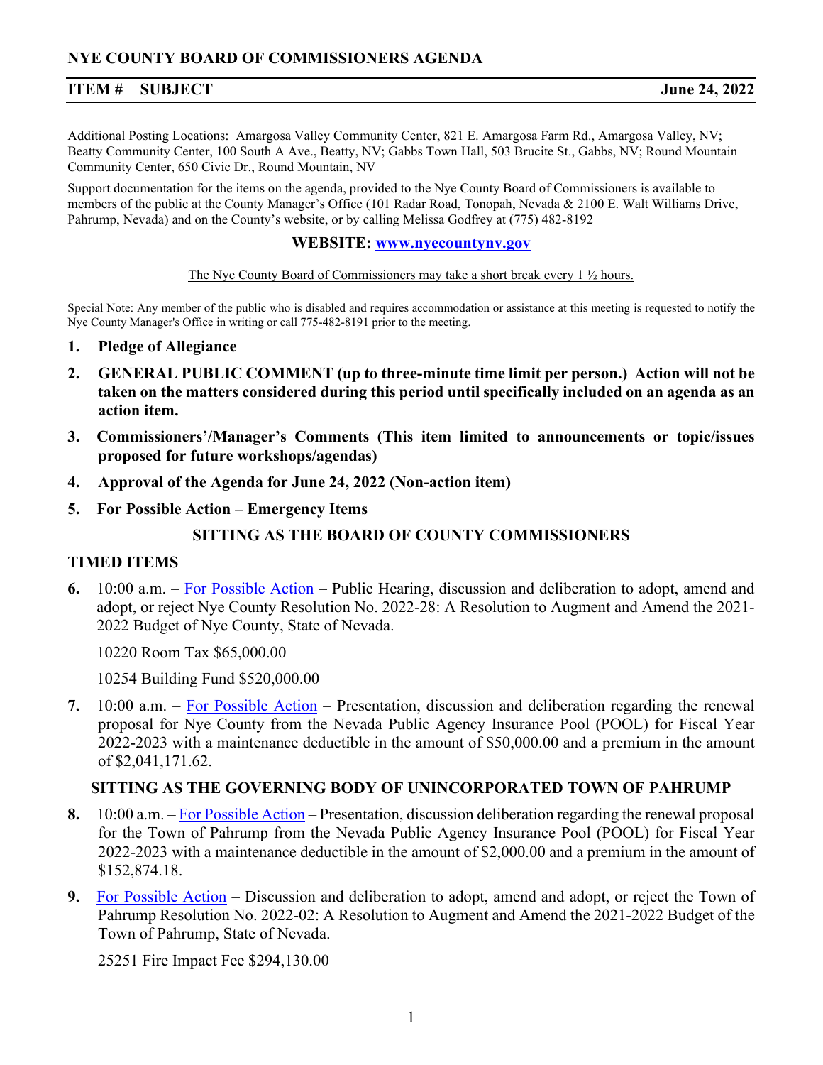# **ITEM # SUBJECT June 24, 2022**

Additional Posting Locations: Amargosa Valley Community Center, 821 E. Amargosa Farm Rd., Amargosa Valley, NV; Beatty Community Center, 100 South A Ave., Beatty, NV; Gabbs Town Hall, 503 Brucite St., Gabbs, NV; Round Mountain Community Center, 650 Civic Dr., Round Mountain, NV

Support documentation for the items on the agenda, provided to the Nye County Board of Commissioners is available to members of the public at the County Manager's Office (101 Radar Road, Tonopah, Nevada & 2100 E. Walt Williams Drive, Pahrump, Nevada) and on the County's website, or by calling Melissa Godfrey at (775) 482-8192

### **WEBSITE: [www.nyecountyn](http://www.nyecounty.net/)v.gov**

#### The Nye County Board of Commissioners may take a short break every 1 ½ hours.

Special Note: Any member of the public who is disabled and requires accommodation or assistance at this meeting is requested to notify the Nye County Manager's Office in writing or call 775-482-8191 prior to the meeting.

- **1. Pledge of Allegiance**
- **2. GENERAL PUBLIC COMMENT (up to three-minute time limit per person.) Action will not be taken on the matters considered during this period until specifically included on an agenda as an action item.**
- **3. Commissioners'/Manager's Comments (This item limited to announcements or topic/issues proposed for future workshops/agendas)**
- **4. Approval of the Agenda for June 24, 2022 (Non-action item)**
- **5. For Possible Action – Emergency Items**

# **SITTING AS THE BOARD OF COUNTY COMMISSIONERS**

# **TIMED ITEMS**

**6.** 10:00 a.m. – [For Possible Action](https://www.nyecountynv.gov/DocumentCenter/View/41468/Item6) – Public Hearing, discussion and deliberation to adopt, amend and adopt, or reject Nye County Resolution No. 2022-28: A Resolution to Augment and Amend the 2021- 2022 Budget of Nye County, State of Nevada.

10220 Room Tax \$65,000.00

10254 Building Fund \$520,000.00

**7.** 10:00 a.m. – [For Possible Action](https://www.nyecountynv.gov/DocumentCenter/View/41469/Item7) – Presentation, discussion and deliberation regarding the renewal proposal for Nye County from the Nevada Public Agency Insurance Pool (POOL) for Fiscal Year 2022-2023 with a maintenance deductible in the amount of \$50,000.00 and a premium in the amount of \$2,041,171.62.

#### **SITTING AS THE GOVERNING BODY OF UNINCORPORATED TOWN OF PAHRUMP**

- **8.** 10:00 a.m. [For Possible Action](https://www.nyecountynv.gov/DocumentCenter/View/41470/Item8) Presentation, discussion deliberation regarding the renewal proposal for the Town of Pahrump from the Nevada Public Agency Insurance Pool (POOL) for Fiscal Year 2022-2023 with a maintenance deductible in the amount of \$2,000.00 and a premium in the amount of \$152,874.18.
- **9.** [For Possible Action](https://www.nyecountynv.gov/DocumentCenter/View/41471/Item9) Discussion and deliberation to adopt, amend and adopt, or reject the Town of Pahrump Resolution No. 2022-02: A Resolution to Augment and Amend the 2021-2022 Budget of the Town of Pahrump, State of Nevada.

25251 Fire Impact Fee \$294,130.00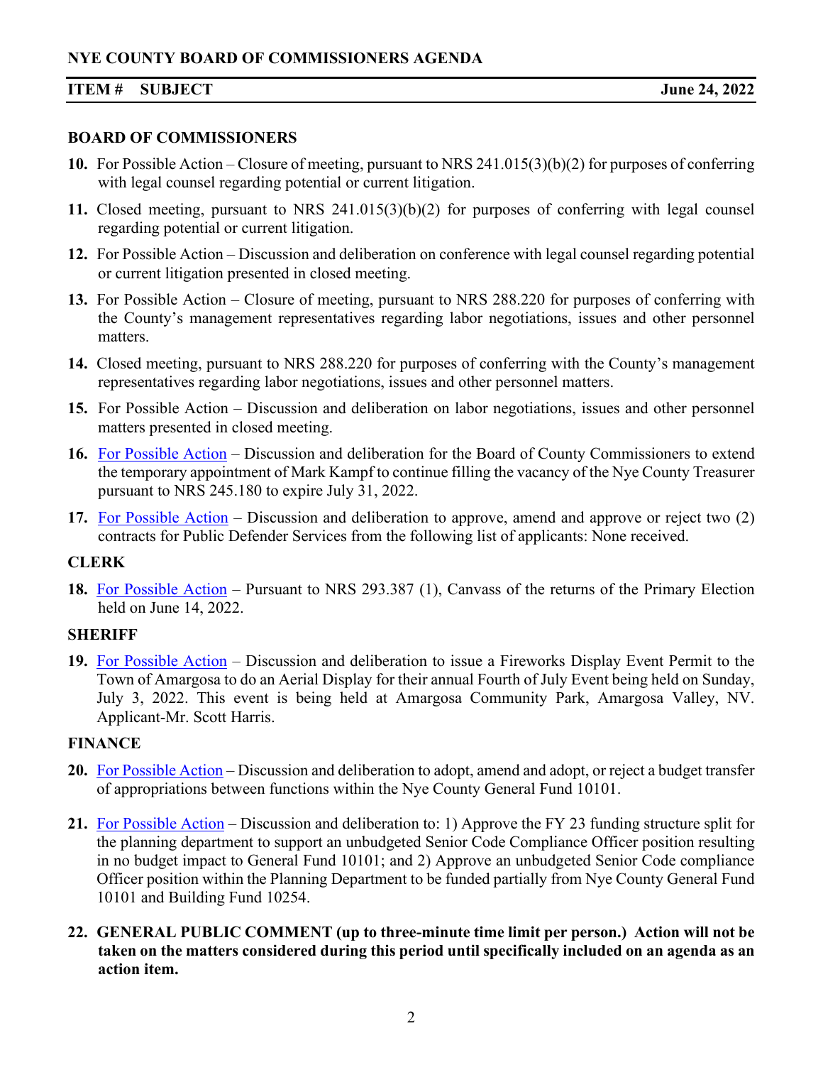### **ITEM # SUBJECT June 24, 2022**

### **BOARD OF COMMISSIONERS**

- **10.** For Possible Action Closure of meeting, pursuant to NRS 241.015(3)(b)(2) for purposes of conferring with legal counsel regarding potential or current litigation.
- **11.** Closed meeting, pursuant to NRS 241.015(3)(b)(2) for purposes of conferring with legal counsel regarding potential or current litigation.
- **12.** For Possible Action Discussion and deliberation on conference with legal counsel regarding potential or current litigation presented in closed meeting.
- **13.** For Possible Action Closure of meeting, pursuant to NRS 288.220 for purposes of conferring with the County's management representatives regarding labor negotiations, issues and other personnel matters.
- **14.** Closed meeting, pursuant to NRS 288.220 for purposes of conferring with the County's management representatives regarding labor negotiations, issues and other personnel matters.
- **15.** For Possible Action Discussion and deliberation on labor negotiations, issues and other personnel matters presented in closed meeting.
- **16.** [For Possible Action](https://www.nyecountynv.gov/DocumentCenter/View/41472/Item16) Discussion and deliberation for the Board of County Commissioners to extend the temporary appointment of Mark Kampf to continue filling the vacancy of the Nye County Treasurer pursuant to NRS 245.180 to expire July 31, 2022.
- **17.** [For Possible Action](https://www.nyecountynv.gov/DocumentCenter/View/41473/Item17) Discussion and deliberation to approve, amend and approve or reject two (2) contracts for Public Defender Services from the following list of applicants: None received.

# **CLERK**

**18.** [For Possible Action](https://www.nyecountynv.gov/DocumentCenter/View/41474/Item18) – Pursuant to NRS 293.387 (1), Canvass of the returns of the Primary Election held on June 14, 2022.

# **SHERIFF**

**19.** [For Possible Action](https://www.nyecountynv.gov/DocumentCenter/View/41475/Item19) – Discussion and deliberation to issue a Fireworks Display Event Permit to the Town of Amargosa to do an Aerial Display for their annual Fourth of July Event being held on Sunday, July 3, 2022. This event is being held at Amargosa Community Park, Amargosa Valley, NV. Applicant-Mr. Scott Harris.

# **FINANCE**

- **20.** [For Possible Action](https://www.nyecountynv.gov/DocumentCenter/View/41476/Item20) Discussion and deliberation to adopt, amend and adopt, or reject a budget transfer of appropriations between functions within the Nye County General Fund 10101.
- **21.** [For Possible Action](https://www.nyecountynv.gov/DocumentCenter/View/41477/Item21) Discussion and deliberation to: 1) Approve the FY 23 funding structure split for the planning department to support an unbudgeted Senior Code Compliance Officer position resulting in no budget impact to General Fund 10101; and 2) Approve an unbudgeted Senior Code compliance Officer position within the Planning Department to be funded partially from Nye County General Fund 10101 and Building Fund 10254.
- **22. GENERAL PUBLIC COMMENT (up to three-minute time limit per person.) Action will not be taken on the matters considered during this period until specifically included on an agenda as an action item.**